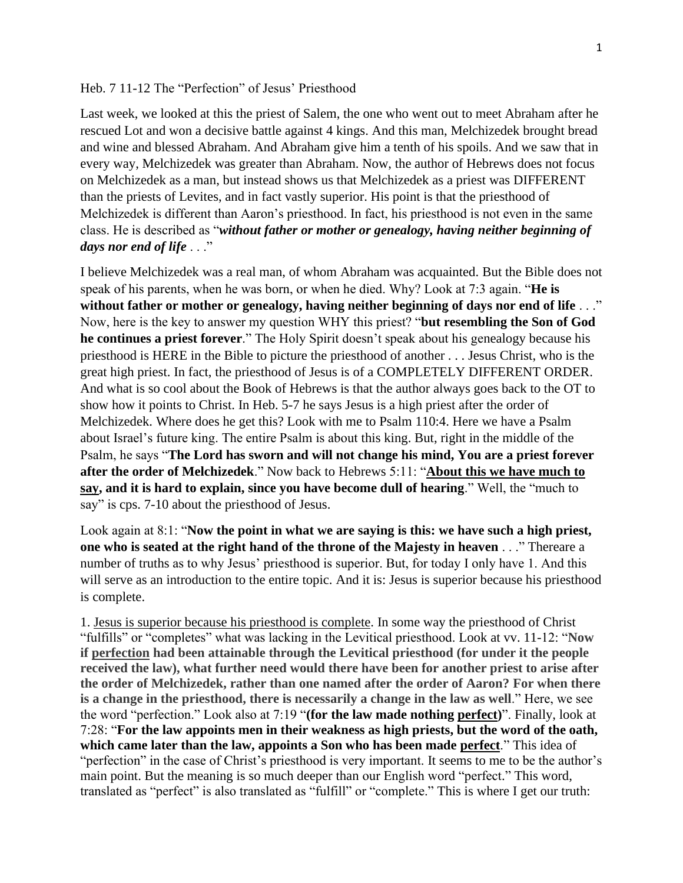## Heb. 7 11-12 The "Perfection" of Jesus' Priesthood

Last week, we looked at this the priest of Salem, the one who went out to meet Abraham after he rescued Lot and won a decisive battle against 4 kings. And this man, Melchizedek brought bread and wine and blessed Abraham. And Abraham give him a tenth of his spoils. And we saw that in every way, Melchizedek was greater than Abraham. Now, the author of Hebrews does not focus on Melchizedek as a man, but instead shows us that Melchizedek as a priest was DIFFERENT than the priests of Levites, and in fact vastly superior. His point is that the priesthood of Melchizedek is different than Aaron's priesthood. In fact, his priesthood is not even in the same class. He is described as "*without father or mother or genealogy, having neither beginning of days nor end of life* . . ."

I believe Melchizedek was a real man, of whom Abraham was acquainted. But the Bible does not speak of his parents, when he was born, or when he died. Why? Look at 7:3 again. "**He is without father or mother or genealogy, having neither beginning of days nor end of life** . . ." Now, here is the key to answer my question WHY this priest? "**but resembling the Son of God he continues a priest forever**." The Holy Spirit doesn't speak about his genealogy because his priesthood is HERE in the Bible to picture the priesthood of another . . . Jesus Christ, who is the great high priest. In fact, the priesthood of Jesus is of a COMPLETELY DIFFERENT ORDER. And what is so cool about the Book of Hebrews is that the author always goes back to the OT to show how it points to Christ. In Heb. 5-7 he says Jesus is a high priest after the order of Melchizedek. Where does he get this? Look with me to Psalm 110:4. Here we have a Psalm about Israel's future king. The entire Psalm is about this king. But, right in the middle of the Psalm, he says "**The Lord has sworn and will not change his mind, You are a priest forever after the order of Melchizedek**." Now back to Hebrews 5:11: "**About this we have much to say, and it is hard to explain, since you have become dull of hearing**." Well, the "much to say" is cps. 7-10 about the priesthood of Jesus.

Look again at 8:1: "**Now the point in what we are saying is this: we have such a high priest, one who is seated at the right hand of the throne of the Majesty in heaven** . . ." Thereare a number of truths as to why Jesus' priesthood is superior. But, for today I only have 1. And this will serve as an introduction to the entire topic. And it is: Jesus is superior because his priesthood is complete.

1. Jesus is superior because his priesthood is complete. In some way the priesthood of Christ "fulfills" or "completes" what was lacking in the Levitical priesthood. Look at vv. 11-12: "**Now if perfection had been attainable through the Levitical priesthood (for under it the people received the law), what further need would there have been for another priest to arise after the order of Melchizedek, rather than one named after the order of Aaron? For when there is a change in the priesthood, there is necessarily a change in the law as well**." Here, we see the word "perfection." Look also at 7:19 "**(for the law made nothing perfect)**". Finally, look at 7:28: "**For the law appoints men in their weakness as high priests, but the word of the oath, which came later than the law, appoints a Son who has been made perfect**." This idea of "perfection" in the case of Christ's priesthood is very important. It seems to me to be the author's main point. But the meaning is so much deeper than our English word "perfect." This word, translated as "perfect" is also translated as "fulfill" or "complete." This is where I get our truth: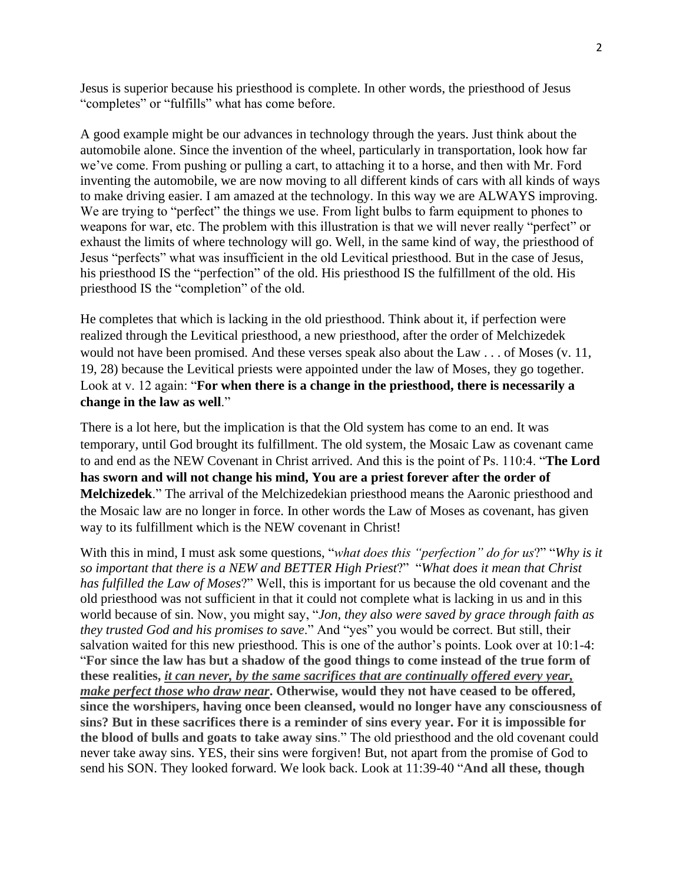Jesus is superior because his priesthood is complete. In other words, the priesthood of Jesus "completes" or "fulfills" what has come before.

A good example might be our advances in technology through the years. Just think about the automobile alone. Since the invention of the wheel, particularly in transportation, look how far we've come. From pushing or pulling a cart, to attaching it to a horse, and then with Mr. Ford inventing the automobile, we are now moving to all different kinds of cars with all kinds of ways to make driving easier. I am amazed at the technology. In this way we are ALWAYS improving. We are trying to "perfect" the things we use. From light bulbs to farm equipment to phones to weapons for war, etc. The problem with this illustration is that we will never really "perfect" or exhaust the limits of where technology will go. Well, in the same kind of way, the priesthood of Jesus "perfects" what was insufficient in the old Levitical priesthood. But in the case of Jesus, his priesthood IS the "perfection" of the old. His priesthood IS the fulfillment of the old. His priesthood IS the "completion" of the old.

He completes that which is lacking in the old priesthood. Think about it, if perfection were realized through the Levitical priesthood, a new priesthood, after the order of Melchizedek would not have been promised. And these verses speak also about the Law . . . of Moses (v. 11, 19, 28) because the Levitical priests were appointed under the law of Moses, they go together. Look at v. 12 again: "**For when there is a change in the priesthood, there is necessarily a change in the law as well**."

There is a lot here, but the implication is that the Old system has come to an end. It was temporary, until God brought its fulfillment. The old system, the Mosaic Law as covenant came to and end as the NEW Covenant in Christ arrived. And this is the point of Ps. 110:4. "**The Lord has sworn and will not change his mind, You are a priest forever after the order of Melchizedek**." The arrival of the Melchizedekian priesthood means the Aaronic priesthood and the Mosaic law are no longer in force. In other words the Law of Moses as covenant, has given way to its fulfillment which is the NEW covenant in Christ!

With this in mind, I must ask some questions, "*what does this "perfection" do for us*?" "*Why is it so important that there is a NEW and BETTER High Priest*?" "*What does it mean that Christ has fulfilled the Law of Moses*?" Well, this is important for us because the old covenant and the old priesthood was not sufficient in that it could not complete what is lacking in us and in this world because of sin. Now, you might say, "*Jon, they also were saved by grace through faith as they trusted God and his promises to save*." And "yes" you would be correct. But still, their salvation waited for this new priesthood. This is one of the author's points. Look over at 10:1-4: "**For since the law has but a shadow of the good things to come instead of the true form of these realities,** *it can never, by the same sacrifices that are continually offered every year, make perfect those who draw near***. Otherwise, would they not have ceased to be offered, since the worshipers, having once been cleansed, would no longer have any consciousness of sins? But in these sacrifices there is a reminder of sins every year. For it is impossible for the blood of bulls and goats to take away sins**." The old priesthood and the old covenant could never take away sins. YES, their sins were forgiven! But, not apart from the promise of God to send his SON. They looked forward. We look back. Look at 11:39-40 "**And all these, though**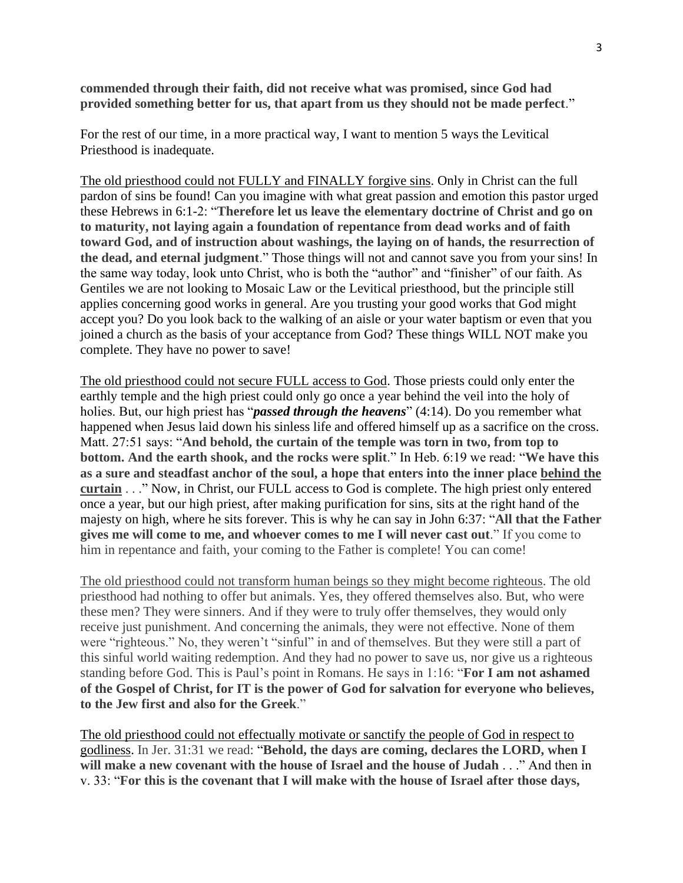**commended through their faith, did not receive what was promised, since God had provided something better for us, that apart from us they should not be made perfect**."

For the rest of our time, in a more practical way, I want to mention 5 ways the Levitical Priesthood is inadequate.

The old priesthood could not FULLY and FINALLY forgive sins. Only in Christ can the full pardon of sins be found! Can you imagine with what great passion and emotion this pastor urged these Hebrews in 6:1-2: "**Therefore let us leave the elementary doctrine of Christ and go on to maturity, not laying again a foundation of repentance from dead works and of faith toward God, and of instruction about washings, the laying on of hands, the resurrection of the dead, and eternal judgment**." Those things will not and cannot save you from your sins! In the same way today, look unto Christ, who is both the "author" and "finisher" of our faith. As Gentiles we are not looking to Mosaic Law or the Levitical priesthood, but the principle still applies concerning good works in general. Are you trusting your good works that God might accept you? Do you look back to the walking of an aisle or your water baptism or even that you joined a church as the basis of your acceptance from God? These things WILL NOT make you complete. They have no power to save!

The old priesthood could not secure FULL access to God. Those priests could only enter the earthly temple and the high priest could only go once a year behind the veil into the holy of holies. But, our high priest has "*passed through the heavens*" (4:14). Do you remember what happened when Jesus laid down his sinless life and offered himself up as a sacrifice on the cross. Matt. 27:51 says: "**And behold, the curtain of the temple was torn in two, from top to bottom. And the earth shook, and the rocks were split**." In Heb. 6:19 we read: "**We have this as a sure and steadfast anchor of the soul, a hope that enters into the inner place behind the curtain** . . ." Now, in Christ, our FULL access to God is complete. The high priest only entered once a year, but our high priest, after making purification for sins, sits at the right hand of the majesty on high, where he sits forever. This is why he can say in John 6:37: "**All that the Father gives me will come to me, and whoever comes to me I will never cast out**." If you come to him in repentance and faith, your coming to the Father is complete! You can come!

The old priesthood could not transform human beings so they might become righteous. The old priesthood had nothing to offer but animals. Yes, they offered themselves also. But, who were these men? They were sinners. And if they were to truly offer themselves, they would only receive just punishment. And concerning the animals, they were not effective. None of them were "righteous." No, they weren't "sinful" in and of themselves. But they were still a part of this sinful world waiting redemption. And they had no power to save us, nor give us a righteous standing before God. This is Paul's point in Romans. He says in 1:16: "**For I am not ashamed of the Gospel of Christ, for IT is the power of God for salvation for everyone who believes, to the Jew first and also for the Greek**."

The old priesthood could not effectually motivate or sanctify the people of God in respect to godliness. In Jer. 31:31 we read: "**Behold, the days are coming, declares the LORD, when I will make a new covenant with the house of Israel and the house of Judah** . . ." And then in v. 33: "**For this is the covenant that I will make with the house of Israel after those days,**